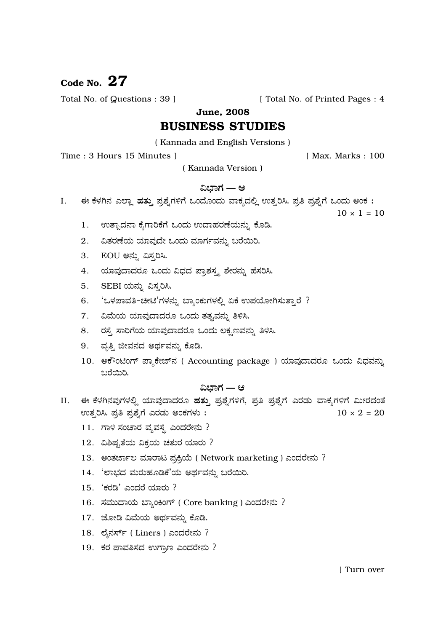# Code No.  $27$

Total No. of Questions : 39 ]

[ Total No. of Printed Pages : 4

**June. 2008** 

# **BUSINESS STUDIES**

(Kannada and English Versions)

Time: 3 Hours 15 Minutes 1

[ Max. Marks: 100

(Kannada Version)

## ವಿಭಾಗ — ಅ

ಈ ಕೆಳಗಿನ ಎಲ್ಲಾ ಹತ್ತು ಪ್ರಶ್ನೆಗಳಿಗೆ ಒಂದೊಂದು ವಾಕ್ಯದಲ್ಲಿ ಉತ್ತರಿಸಿ. ಪ್ರತಿ ಪ್ರಶ್ನೆಗೆ ಒಂದು ಅಂಕ: I.

 $10 \times 1 = 10$ 

- 1. ಉತ್ಪಾದನಾ ಕೈಗಾರಿಕೆಗೆ ಒಂದು ಉದಾಹರಣೆಯನ್ನು ಕೊಡಿ.
- 2. ವಿತರಣೆಯ ಯಾವುದೇ ಒಂದು ಮಾರ್ಗವನ್ನು ಬರೆಯಿರಿ.
- 3. EOU ಅನ್ನು ವಿಸ್ತರಿಸಿ.
- 4. ಯಾವುದಾದರೂ ಒಂದು ವಿಧದ ಪ್ರಾಶಸ್ತ್ಯ ಶೇರನ್ನು ಹೆಸರಿಸಿ.
- 5. SEBI ಯನ್ನು ವಿಸ್ತರಿಸಿ.
- 'ಒಳಪಾವತಿ−ಚೀಟಿ'ಗಳನ್ನು ಬ್ಯಾಂಕುಗಳಲ್ಲಿ ಏಕೆ ಉಪಯೋಗಿಸುತ್ತಾರೆ ? 6.
- 7. ವಿಮೆಯ ಯಾವುದಾದರೂ ಒಂದು ತತ್ವವನ್ನು ತಿಳಿಸಿ.
- 8. ರಸ್ತೆ ಸಾರಿಗೆಯ ಯಾವುದಾದರೂ ಒಂದು ಲಕ್ಷಣವನ್ನು ತಿಳಿಸಿ.
- 9. ವೃತ್ತಿ ಜೀವನದ ಅರ್ಥವನ್ನು ಕೊಡಿ.
- 10. ಅಕೌಂಟಿಂಗ್ ಪ್ಯಾಕೇಜ್**ನ** ( Accounting package ) ಯಾವುದಾದರೂ ಒಂದು ವಿಧವನ್ನು ಬರೆಯಿರಿ.

# ವಿಬಾಗ — ಆ

- II. ಈ ಕೆಳಗಿನವುಗಳಲ್ಲಿ ಯಾವುದಾದರೂ ಹತ್ತು ಪ್ರಶ್ನೆಗಳಿಗೆ, ಪ್ರತಿ ಪ್ರಶ್ನೆಗೆ ಎರಡು ವಾಕ್ಯಗಳಿಗೆ ಮೀರದಂತೆ ಉತ್ತರಿಸಿ. ಪ್ರತಿ ಪ್ರಶ್ನೆಗೆ ಎರಡು ಅಂಕಗಳು:  $10 \times 2 = 20$ 
	- 11. ಗಾಳಿ ಸಂಚಾರ ವ್ಯವಸ್ಥೆ ಎಂದರೇನು ?
	- 12. ವಿಶಿಷ್ಟತೆಯ ವಿಕ್ರಯ ಚತುರ ಯಾರು ?
	- 13. ಅಂತರ್ಜಾಲ ಮಾರಾಟ ಪ್ರಕ್ರಿಯೆ (Network marketing) ಎಂದರೇನು ?
	- 14. 'ಲಾಭದ ಮರುಹೂಡಿಕೆ'ಯ ಅರ್ಥವನ್ನು ಬರೆಯಿರಿ.
	- 15. 'ಕರಡಿ' ಎಂದರೆ ಯಾರು ?
	- 16. ಸಮುದಾಯ ಬ್ಯಾಂಕಿಂಗ್ ( Core banking ) ಎಂದರೇನು ?
	- 17. ಜೋಡಿ ವಿಮೆಯ ಅರ್ಥವನ್ನು ಕೊಡಿ.
	- 18. ಲೈನರ್ಸ್ (Liners) ಎಂದರೇನು ?
	- 19. ಕರ ಪಾವತಿಸದ ಉಗ್ರಾಣ ಎಂದರೇನು ?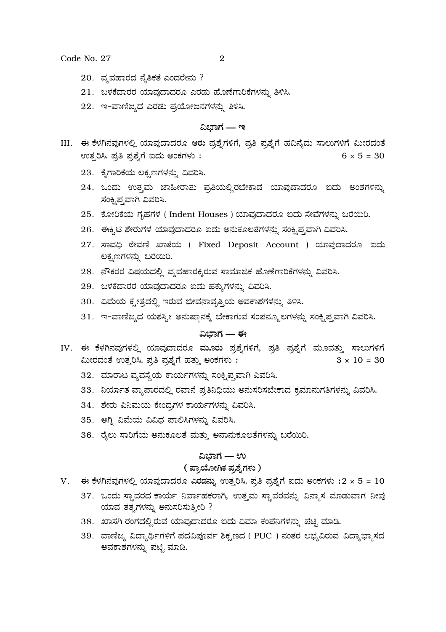Code No. 27

- 20. ವ್ಯವಹಾರದ ನೈತಿಕತೆ ಎಂದರೇನು ?
- 21. ಬಳಕೆದಾರರ ಯಾವುದಾದರೂ ಎರಡು ಹೊಣೆಗಾರಿಕೆಗಳನ್ನು ತಿಳಿಸಿ.
- 22. ಇ-ವಾಣಿಜ್ಯದ ಎರಡು ಪ್ರಯೋಜನಗಳನ್ನು ತಿಳಿಸಿ.

### ವಿಬಾಗ — ಇ

- III. ಈ ಕೆಳಗಿನವುಗಳಲ್ಲಿ ಯಾವುದಾದರೂ ಆರು ಪ್ರಶ್ನೆಗಳಿಗೆ, ಪ್ರತಿ ಪ್ರಶ್ನೆಗೆ ಹದಿನ್ಯೆದು ಸಾಲುಗಳಿಗೆ ಮೀರದಂತೆ ಉತ್ತರಿಸಿ. ಪ್ರತಿ ಪ್ರಶ್ನೆಗೆ ಐದು ಅಂಕಗಳು :  $6 \times 5 = 30$ 
	- 23. ಕೈಗಾರಿಕೆಯ ಲಕ್ಷಣಗಳನ್ನು ವಿವರಿಸಿ.
	- 24. ಒಂದು ಉತ್ತಮ ಜಾಹೀರಾತು ಪ್ರತಿಯಲ್ಲಿರಬೇಕಾದ ಯಾವುದಾದರೂ ಐದು ಅಂಶಗಳನ್ನು ಸಂಕ್ಷಿಪ್ತವಾಗಿ ವಿವರಿಸಿ.
	- 25. ಕೋರಿಕೆಯ ಗೃಹಗಳ (Indent Houses) ಯಾವುದಾದರೂ ಐದು ಸೇವೆಗಳನ್ನು ಬರೆಯಿರಿ.
	- 26. ಈಕ್ಸಿಟಿ ಶೇರುಗಳ ಯಾವುದಾದರೂ ಐದು ಅನುಕೂಲತೆಗಳನ್ನು ಸಂಕ್ಷಿಪ್ತವಾಗಿ ವಿವರಿಸಿ.
	- 27. ಸಾವಧಿ ಠೇವಣಿ ಖಾತೆಯ (Fixed Deposit Account ) ಯಾವುದಾದರೂ ಐದು ಲಕೃಣಗಳನ್ನು ಬರೆಯಿರಿ.
	- 28. ನೌಕರರ ವಿಷಯದಲ್ಲಿ ವ್ಯವಹಾರಕ್ಕಿರುವ ಸಾಮಾಜಿಕ ಹೊಣೆಗಾರಿಕೆಗಳನ್ನು ವಿವರಿಸಿ.
	- 29. ಬಳಕೆದಾರರ ಯಾವುದಾದರೂ ಐದು ಹಕ್ಕುಗಳನ್ನು ವಿವರಿಸಿ.
	- 30. ವಿಮೆಯ ಕ್ಷೇತ್ರದಲ್ಲಿ ಇರುವ ಜೀವನಾವೃತ್ತಿಯ ಅವಕಾಶಗಳನ್ನು ತಿಳಿಸಿ.
	- 31. ಇ-ವಾಣಿಜ್ಯದ ಯಶಸ್ಸೀ ಅನುಷ್ಠಾನಕ್ಕೆ ಬೇಕಾಗುವ ಸಂಪನ್ಮೂಲಗಳನ್ನು ಸಂಕ್ಷಿಪ್ತವಾಗಿ ವಿವರಿಸಿ.

# ವಿಬಾಗ — ಈ

- IV. ಈ ಕೆಳಗಿನವುಗಳಲ್ಲಿ ಯಾವುದಾದರೂ ಮೂರು ಪ್ರಶ್ನೆಗಳಿಗೆ, ಪ್ರತಿ ಪ್ರಶ್ನೆಗೆ ಮೂವತ್ತು ಸಾಲುಗಳಿಗೆ ಮೀರದಂತೆ ಉತ್ತರಿಸಿ. ಪ್ರತಿ ಪ್ರಶ್ನೆಗೆ ಹತ್ತು ಅಂಕಗಳು:  $3 \times 10 = 30$ 
	- 32. ಮಾರಾಟ ವ್ಯವಸ್ಥೆಯ ಕಾರ್ಯಗಳನ್ನು ಸಂಕೃಪ್ತವಾಗಿ ವಿವರಿಸಿ.
	- 33. ನಿರ್ಯಾತ ವ್ಯಾಪಾರದಲ್ಲಿ ರವಾನೆ ಪ್ರತಿನಿಧಿಯು ಅನುಸರಿಸಬೇಕಾದ ಕ್ರಮಾನುಗತಿಗಳನ್ನು ವಿವರಿಸಿ.
	- 34. ಶೇರು ವಿನಿಮಯ ಕೇಂದ್ರಗಳ ಕಾರ್ಯಗಳನ್ನು ವಿವರಿಸಿ.
	- 35. ಅಗ್ನಿ ವಿಮೆಯ ವಿವಿಧ ಪಾಲಿಸಿಗಳನ್ನು ವಿವರಿಸಿ.
	- 36. ರೈಲು ಸಾರಿಗೆಯ ಅನುಕೂಲತೆ ಮತ್ತು ಅನಾನುಕೂಲತೆಗಳನ್ನು ಬರೆಯಿರಿ.

## ವಿಬಾಗ — ಉ

#### ( ಪ್ರಾಯೋಗಿಕ ಪ್ರಶ್ನೆಗಳು )

- $V.$  ಈ ಕೆಳಗಿನವುಗಳಲ್ಲಿ ಯಾವುದಾದರೂ ಎರಡನ್ನು ಉತ್ತರಿಸಿ. ಪ್ರತಿ ಪ್ರಶ್ನೆಗೆ ಐದು ಅಂಕಗಳು : $2 \times 5 = 10$ 
	- 37. ಒಂದು ಸ್ಥಾವರದ ಕಾರ್ಯ ನಿರ್ವಾಹಕರಾಗಿ, ಉತ್ತಮ ಸ್ಥಾವರವನ್ನು ವಿನ್ಯಾಸ ಮಾಡುವಾಗ ನೀವು ಯಾವ ತತ್ವಗಳನ್ನು ಅನುಸರಿಸುತ್ತೀರಿ ?
	- 38. ಖಾಸಗಿ ರಂಗದಲ್ಲಿರುವ ಯಾವುದಾದರೂ ಐದು ವಿಮಾ ಕಂಪೆನಿಗಳನ್ನು ಪಟ್ಟಿ ಮಾಡಿ.
	- 39. ವಾಣಿಜ್ಯ ವಿದ್ಯಾರ್ಥಿಗಳಿಗೆ ಪದವಿಪೂರ್ವ ಶಿಕ್ಷಣದ ( PUC ) ನಂತರ ಲಭ್ಯವಿರುವ ವಿದ್ಯಾಭ್ಯಾಸದ ಅವಕಾಶಗಳನ್ನು ಪಟ್ಟಿ ಮಾಡಿ.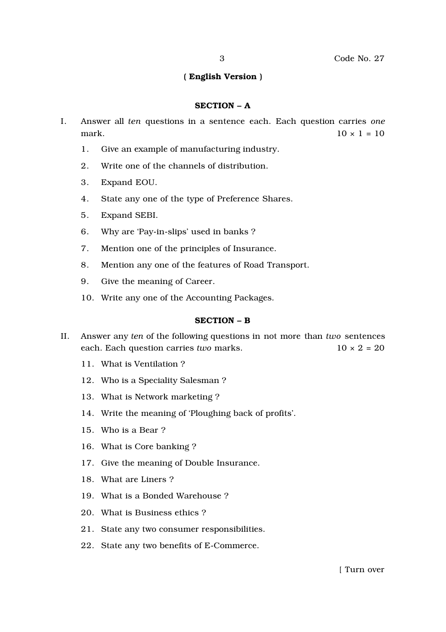### ( English Version )

#### SECTION – A

- I. Answer all *ten* questions in a sentence each. Each question carries *one* mark.  $10 \times 1 = 10$ 
	- 1. Give an example of manufacturing industry.
	- 2. Write one of the channels of distribution.
	- 3. Expand EOU.
	- 4. State any one of the type of Preference Shares.
	- 5. Expand SEBI.
	- 6. Why are 'Pay-in-slips' used in banks ?
	- 7. Mention one of the principles of Insurance.
	- 8. Mention any one of the features of Road Transport.
	- 9. Give the meaning of Career.
	- 10. Write any one of the Accounting Packages.

#### SECTION – B

- II. Answer any *ten* of the following questions in not more than *two* sentences each. Each question carries *two* marks. 10 × 2 = 20
	- 11. What is Ventilation ?
	- 12. Who is a Speciality Salesman ?
	- 13. What is Network marketing ?
	- 14. Write the meaning of 'Ploughing back of profits'.
	- 15. Who is a Bear ?
	- 16. What is Core banking ?
	- 17. Give the meaning of Double Insurance.
	- 18. What are Liners ?
	- 19. What is a Bonded Warehouse ?
	- 20. What is Business ethics ?
	- 21. State any two consumer responsibilities.
	- 22. State any two benefits of E-Commerce.